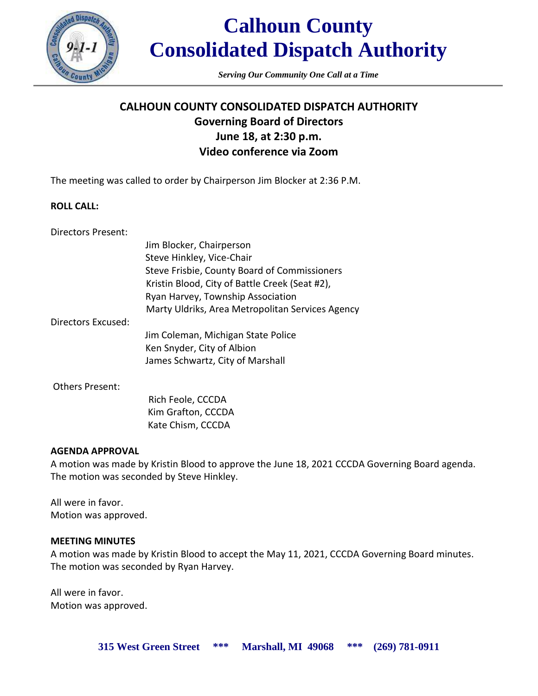

*Serving Our Community One Call at a Time*

# **CALHOUN COUNTY CONSOLIDATED DISPATCH AUTHORITY Governing Board of Directors June 18, at 2:30 p.m. Video conference via Zoom**

The meeting was called to order by Chairperson Jim Blocker at 2:36 P.M.

#### **ROLL CALL:**

Directors Present:

|                    | Jim Blocker, Chairperson                         |
|--------------------|--------------------------------------------------|
|                    | Steve Hinkley, Vice-Chair                        |
|                    | Steve Frisbie, County Board of Commissioners     |
|                    | Kristin Blood, City of Battle Creek (Seat #2),   |
|                    | Ryan Harvey, Township Association                |
|                    | Marty Uldriks, Area Metropolitan Services Agency |
| Directors Excused: |                                                  |
|                    | Jim Coleman, Michigan State Police               |
|                    | Ken Snyder, City of Albion                       |
|                    | James Schwartz, City of Marshall                 |
| Others Present:    |                                                  |
|                    | Rich Feole, CCCDA                                |
|                    | Kim Grafton, CCCDA                               |

Kate Chism, CCCDA

**AGENDA APPROVAL**

A motion was made by Kristin Blood to approve the June 18, 2021 CCCDA Governing Board agenda. The motion was seconded by Steve Hinkley.

All were in favor. Motion was approved.

## **MEETING MINUTES**

A motion was made by Kristin Blood to accept the May 11, 2021, CCCDA Governing Board minutes. The motion was seconded by Ryan Harvey.

All were in favor. Motion was approved.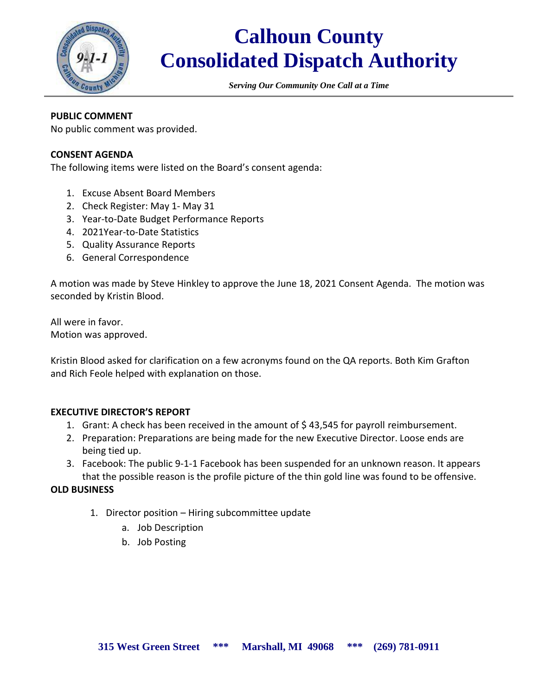

*Serving Our Community One Call at a Time*

# **PUBLIC COMMENT**

No public comment was provided.

## **CONSENT AGENDA**

The following items were listed on the Board's consent agenda:

- 1. Excuse Absent Board Members
- 2. Check Register: May 1- May 31
- 3. Year-to-Date Budget Performance Reports
- 4. 2021Year-to-Date Statistics
- 5. Quality Assurance Reports
- 6. General Correspondence

A motion was made by Steve Hinkley to approve the June 18, 2021 Consent Agenda. The motion was seconded by Kristin Blood.

All were in favor. Motion was approved.

Kristin Blood asked for clarification on a few acronyms found on the QA reports. Both Kim Grafton and Rich Feole helped with explanation on those.

## **EXECUTIVE DIRECTOR'S REPORT**

- 1. Grant: A check has been received in the amount of \$43,545 for payroll reimbursement.
- 2. Preparation: Preparations are being made for the new Executive Director. Loose ends are being tied up.
- 3. Facebook: The public 9-1-1 Facebook has been suspended for an unknown reason. It appears that the possible reason is the profile picture of the thin gold line was found to be offensive.

#### **OLD BUSINESS**

- 1. Director position Hiring subcommittee update
	- a. Job Description
	- b. Job Posting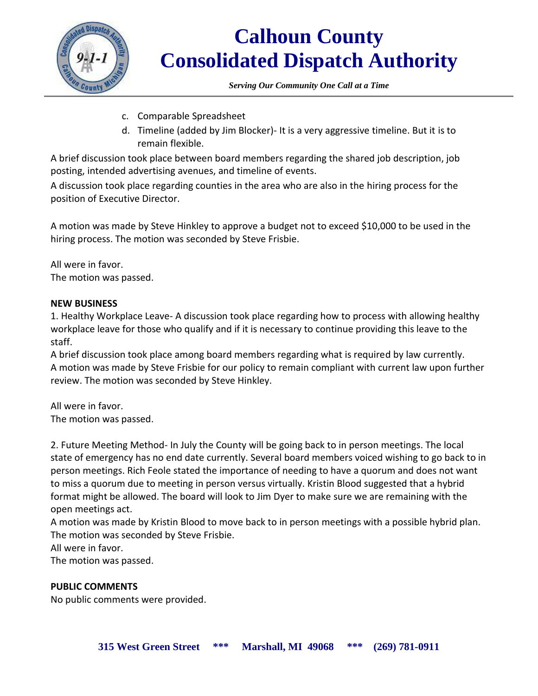

*Serving Our Community One Call at a Time*

- c. Comparable Spreadsheet
- d. Timeline (added by Jim Blocker)- It is a very aggressive timeline. But it is to remain flexible.

A brief discussion took place between board members regarding the shared job description, job posting, intended advertising avenues, and timeline of events.

A discussion took place regarding counties in the area who are also in the hiring process for the position of Executive Director.

A motion was made by Steve Hinkley to approve a budget not to exceed \$10,000 to be used in the hiring process. The motion was seconded by Steve Frisbie.

All were in favor. The motion was passed.

## **NEW BUSINESS**

1. Healthy Workplace Leave- A discussion took place regarding how to process with allowing healthy workplace leave for those who qualify and if it is necessary to continue providing this leave to the staff.

A brief discussion took place among board members regarding what is required by law currently. A motion was made by Steve Frisbie for our policy to remain compliant with current law upon further review. The motion was seconded by Steve Hinkley.

All were in favor. The motion was passed.

2. Future Meeting Method- In July the County will be going back to in person meetings. The local state of emergency has no end date currently. Several board members voiced wishing to go back to in person meetings. Rich Feole stated the importance of needing to have a quorum and does not want to miss a quorum due to meeting in person versus virtually. Kristin Blood suggested that a hybrid format might be allowed. The board will look to Jim Dyer to make sure we are remaining with the open meetings act.

A motion was made by Kristin Blood to move back to in person meetings with a possible hybrid plan. The motion was seconded by Steve Frisbie.

All were in favor.

The motion was passed.

# **PUBLIC COMMENTS**

No public comments were provided.